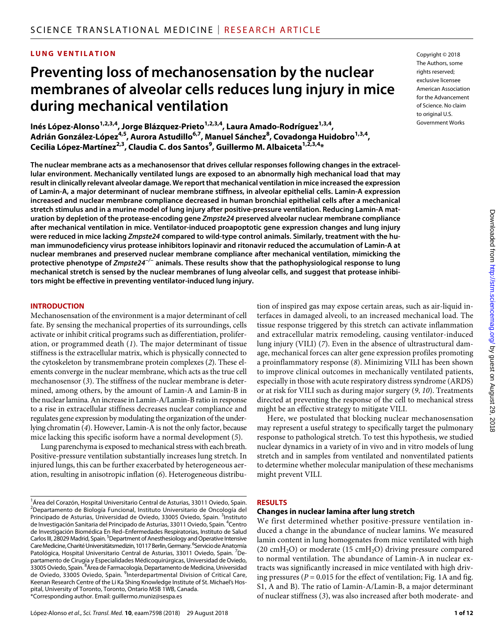# **LUNG VENTILATION**

# **Preventing loss of mechanosensation by the nuclear membranes of alveolar cells reduces lung injury in mice during mechanical ventilation**

Inés López-Alonso<sup>1,2,3,4</sup>, Jorge Blázquez-Prieto<sup>1,2,3,4</sup>, Laura Amado-Rodríguez<sup>1,3,4</sup>, Adrián González-López<sup>4,5</sup>, Aurora Astudillo<sup>6,7</sup>, Manuel Sánchez<sup>8</sup>, Covadonga Huidobro<sup>1,3,4</sup>, Cecilia López-Martínez<sup>2,3</sup>, Claudia C. dos Santos<sup>9</sup>, Guillermo M. Albaiceta <sup>1,2,3,4</sup>\*

**The nuclear membrane acts as a mechanosensor that drives cellular responses following changes in the extracellular environment. Mechanically ventilated lungs are exposed to an abnormally high mechanical load that may result in clinically relevant alveolar damage. We report that mechanical ventilation in mice increased the expression of Lamin-A, a major determinant of nuclear membrane stiffness, in alveolar epithelial cells. Lamin-A expression increased and nuclear membrane compliance decreased in human bronchial epithelial cells after a mechanical stretch stimulus and in a murine model of lung injury after positive-pressure ventilation. Reducing Lamin-A maturation by depletion of the protease-encoding gene** *Zmpste24* **preserved alveolar nuclear membrane compliance after mechanical ventilation in mice. Ventilator-induced proapoptotic gene expression changes and lung injury were reduced in mice lacking** *Zmpste24* **compared to wild-type control animals. Similarly, treatment with the human immunodeficiency virus protease inhibitors lopinavir and ritonavir reduced the accumulation of Lamin-A at nuclear membranes and preserved nuclear membrane compliance after mechanical ventilation, mimicking the protective phenotype of** *Zmpste24−/−* **animals. These results show that the pathophysiological response to lung mechanical stretch is sensed by the nuclear membranes of lung alveolar cells, and suggest that protease inhibitors might be effective in preventing ventilator-induced lung injury.**

#### **INTRODUCTION**

Mechanosensation of the environment is a major determinant of cell fate. By sensing the mechanical properties of its surroundings, cells activate or inhibit critical programs such as differentiation, proliferation, or programmed death (*1*). The major determinant of tissue stiffness is the extracellular matrix, which is physically connected to the cytoskeleton by transmembrane protein complexes (*2*). These elements converge in the nuclear membrane, which acts as the true cell mechanosensor (*3*). The stiffness of the nuclear membrane is determined, among others, by the amount of Lamin-A and Lamin-B in the nuclear lamina. An increase in Lamin-A/Lamin-B ratio in response to a rise in extracellular stiffness decreases nuclear compliance and regulates gene expression by modulating the organization of the underlying chromatin (*4*). However, Lamin-A is not the only factor, because mice lacking this specific isoform have a normal development (*5*).

Lung parenchyma is exposed to mechanical stress with each breath. Positive-pressure ventilation substantially increases lung stretch. In injured lungs, this can be further exacerbated by heterogeneous aeration, resulting in anisotropic inflation (*6*). Heterogeneous distribuCopyright © 2018 The Authors, some rights reserved: exclusive licensee American Association for the Advancement of Science. No claim to original U.S. Government Works

tion of inspired gas may expose certain areas, such as air-liquid interfaces in damaged alveoli, to an increased mechanical load. The tissue response triggered by this stretch can activate inflammation and extracellular matrix remodeling, causing ventilator-induced lung injury (VILI) (*7*). Even in the absence of ultrastructural damage, mechanical forces can alter gene expression profiles promoting a proinflammatory response (*8*). Minimizing VILI has been shown to improve clinical outcomes in mechanically ventilated patients, especially in those with acute respiratory distress syndrome (ARDS) or at risk for VILI such as during major surgery (*9*, *10*). Treatments directed at preventing the response of the cell to mechanical stress might be an effective strategy to mitigate VILI.

Here, we postulated that blocking nuclear mechanosensation may represent a useful strategy to specifically target the pulmonary response to pathological stretch. To test this hypothesis, we studied nuclear dynamics in a variety of in vivo and in vitro models of lung stretch and in samples from ventilated and nonventilated patients to determine whether molecular manipulation of these mechanisms might prevent VILI.

#### **RESULTS**

#### **Changes in nuclear lamina after lung stretch**

We first determined whether positive-pressure ventilation induced a change in the abundance of nuclear lamins. We measured lamin content in lung homogenates from mice ventilated with high (20 cmH<sub>2</sub>O) or moderate (15 cmH<sub>2</sub>O) driving pressure compared to normal ventilation. The abundance of Lamin-A in nuclear extracts was significantly increased in mice ventilated with high driving pressures ( $P = 0.015$  for the effect of ventilation; Fig. 1A and fig. S1, A and B). The ratio of Lamin-A/Lamin-B, a major determinant of nuclear stiffness (*3*), was also increased after both moderate- and

<sup>1</sup> Área del Corazón, Hospital Universitario Central de Asturias, 33011 Oviedo, Spain. <sup>2</sup>Departamento de Biología Funcional, Instituto Universitario de Oncología del Principado de Asturias, Universidad de Oviedo, 33005 Oviedo, Spain. <sup>3</sup>Instituto de Investigación Sanitaria del Principado de Asturias, 33011 Oviedo, Spain. <sup>4</sup>Centro de Investigación Biomédica En Red–Enfermedades Respiratorias, Instituto de Salud Carlos III, 28029 Madrid, Spain. <sup>5</sup>Department of Anesthesiology and Operative Intensive Care Medicine, Charité Universitätsmedizin, 10117 Berlin, Germany. <sup>6</sup>Servicio de Anatomía Patológica, Hospital Universitario Central de Asturias, 33011 Oviedo, Spain. <sup>7</sup>Departamento de Cirugía y Especialidades Médicoquirúrgicas, Universidad de Oviedo, 33005 Oviedo, Spain. <sup>8</sup>Área de Farmacología, Departamento de Medicina, Universidad de Oviedo, 33005 Oviedo, Spain. <sup>9</sup>Interdepartmental Division of Critical Care, Keenan Research Centre of the Li Ka Shing Knowledge Institute of St. Michael's Hospital, University of Toronto, Toronto, Ontario M5B 1WB, Canada. \*Corresponding author. Email: guillermo.muniz@sespa.es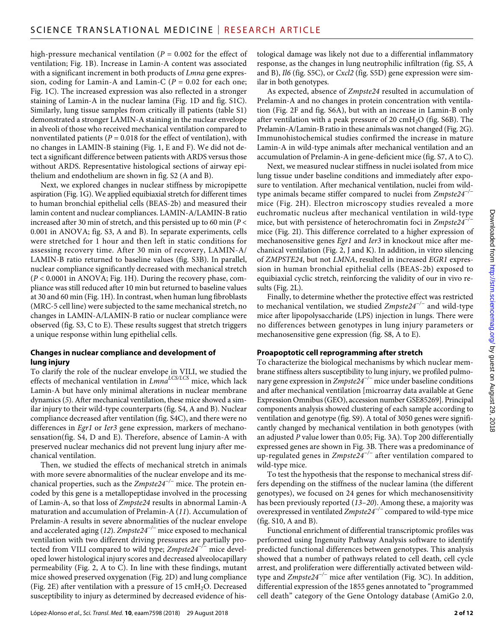high-pressure mechanical ventilation (*P* = 0.002 for the effect of ventilation; Fig. 1B). Increase in Lamin-A content was associated with a significant increment in both products of *Lmna* gene expression, coding for Lamin-A and Lamin-C ( $P = 0.02$  for each one; Fig. 1C). The increased expression was also reflected in a stronger staining of Lamin-A in the nuclear lamina (Fig. 1D and fig. S1C). Similarly, lung tissue samples from critically ill patients (table S1) demonstrated a stronger LAMIN-A staining in the nuclear envelope in alveoli of those who received mechanical ventilation compared to nonventilated patients ( $P = 0.018$  for the effect of ventilation), with no changes in LAMIN-B staining (Fig. 1, E and F). We did not detect a significant difference between patients with ARDS versus those without ARDS. Representative histological sections of airway epithelium and endothelium are shown in fig. S2 (A and B).

Next, we explored changes in nuclear stiffness by micropipette aspiration (Fig. 1G). We applied equibiaxial stretch for different times to human bronchial epithelial cells (BEAS-2b) and measured their lamin content and nuclear compliances. LAMIN-A/LAMIN-B ratio increased after 30 min of stretch, and this persisted up to 60 min (*P* < 0.001 in ANOVA; fig. S3, A and B). In separate experiments, cells were stretched for 1 hour and then left in static conditions for assessing recovery time. After 30 min of recovery, LAMIN-A/ LAMIN-B ratio returned to baseline values (fig. S3B). In parallel, nuclear compliance significantly decreased with mechanical stretch (*P* < 0.0001 in ANOVA; Fig. 1H). During the recovery phase, compliance was still reduced after 10 min but returned to baseline values at 30 and 60 min (Fig. 1H). In contrast, when human lung fibroblasts (MRC-5 cell line) were subjected to the same mechanical stretch, no changes in LAMIN-A/LAMIN-B ratio or nuclear compliance were observed (fig. S3, C to E). These results suggest that stretch triggers a unique response within lung epithelial cells.

#### **Changes in nuclear compliance and development of lung injury**

To clarify the role of the nuclear envelope in VILI, we studied the effects of mechanical ventilation in *LmnaLCS/LCS* mice, which lack Lamin-A but have only minimal alterations in nuclear membrane dynamics (*5*). After mechanical ventilation, these mice showed a similar injury to their wild-type counterparts (fig. S4, A and B). Nuclear compliance decreased after ventilation (fig. S4C), and there were no differences in *Egr1* or *Ier3* gene expression, markers of mechanosensation(fig. S4, D and E). Therefore, absence of Lamin-A with preserved nuclear mechanics did not prevent lung injury after mechanical ventilation.

Then, we studied the effects of mechanical stretch in animals with more severe abnormalities of the nuclear envelope and its mechanical properties, such as the *Zmpste24−/−* mice. The protein encoded by this gene is a metallopeptidase involved in the processing of Lamin-A, so that loss of *Zmpste24* results in abnormal Lamin-A maturation and accumulation of Prelamin-A (*11*). Accumulation of Prelamin-A results in severe abnormalities of the nuclear envelope and accelerated aging (*12*). *Zmpste24−/−* mice exposed to mechanical ventilation with two different driving pressures are partially protected from VILI compared to wild type; *Zmpste24−/−* mice developed lower histological injury scores and decreased alveolocapillary permeability (Fig. 2, A to C). In line with these findings, mutant mice showed preserved oxygenation (Fig. 2D) and lung compliance (Fig. 2E) after ventilation with a pressure of 15  $cmH<sub>2</sub>O$ . Decreased susceptibility to injury as determined by decreased evidence of his-

López-Alonso *et al*., *Sci. Transl. Med.* **10**, eaam7598 (2018) 29 August 2018

tological damage was likely not due to a differential inflammatory response, as the changes in lung neutrophilic infiltration (fig. S5, A and B), *Il6* (fig. S5C), or *Cxcl2* (fig. S5D) gene expression were similar in both genotypes.

As expected, absence of *Zmpste24* resulted in accumulation of Prelamin-A and no changes in protein concentration with ventilation (Fig. 2F and fig. S6A), but with an increase in Lamin-B only after ventilation with a peak pressure of 20  $\text{cm}H_2\text{O}$  (fig. S6B). The Prelamin-A/Lamin-B ratio in these animals was not changed (Fig. 2G). Immunohistochemical studies confirmed the increase in mature Lamin-A in wild-type animals after mechanical ventilation and an accumulation of Prelamin-A in gene-deficient mice (fig. S7, A to C).

Next, we measured nuclear stiffness in nuclei isolated from mice lung tissue under baseline conditions and immediately after exposure to ventilation. After mechanical ventilation, nuclei from wildtype animals became stiffer compared to nuclei from *Zmpste24−/−* mice (Fig. 2H). Electron microscopy studies revealed a more euchromatic nucleus after mechanical ventilation in wild-type mice, but with persistence of heterochromatin foci in *Zmpste24−/−* mice (Fig. 2I). This difference correlated to a higher expression of mechanosensitive genes *Egr1* and *Ier3* in knockout mice after mechanical ventilation (Fig. 2, J and K). In addition, in vitro silencing of *ZMPSTE24*, but not *LMNA*, resulted in increased *EGR1* expression in human bronchial epithelial cells (BEAS-2b) exposed to equibiaxial cyclic stretch, reinforcing the validity of our in vivo results (Fig. 2L).

Finally, to determine whether the protective effect was restricted to mechanical ventilation, we studied *Zmpste24−/−* and wild-type mice after lipopolysaccharide (LPS) injection in lungs. There were no differences between genotypes in lung injury parameters or mechanosensitive gene expression (fig. S8, A to E).

#### **Proapoptotic cell reprogramming after stretch**

To characterize the biological mechanisms by which nuclear membrane stiffness alters susceptibility to lung injury, we profiled pulmonary gene expression in *Zmpste24−/−* mice under baseline conditions and after mechanical ventilation [microarray data available at Gene Expression Omnibus (GEO), accession number GSE85269]. Principal components analysis showed clustering of each sample according to ventilation and genotype (fig. S9). A total of 3050 genes were significantly changed by mechanical ventilation in both genotypes (with an adjusted *P* value lower than 0.05; Fig. 3A). Top 200 differentially expressed genes are shown in Fig. 3B. There was a predominance of up-regulated genes in *Zmpste24−/−* after ventilation compared to wild-type mice.

To test the hypothesis that the response to mechanical stress differs depending on the stiffness of the nuclear lamina (the different genotypes), we focused on 24 genes for which mechanosensitivity has been previously reported (*13*–*20*). Among these, a majority was overexpressed in ventilated *Zmpste24−/−* compared to wild-type mice (fig. S10, A and B).

Functional enrichment of differential transcriptomic profiles was performed using Ingenuity Pathway Analysis software to identify predicted functional differences between genotypes. This analysis showed that a number of pathways related to cell death, cell cycle arrest, and proliferation were differentially activated between wildtype and *Zmpste24−/−* mice after ventilation (Fig. 3C). In addition, differential expression of the 1855 genes annotated to "programmed cell death" category of the Gene Ontology database (AmiGo 2.0,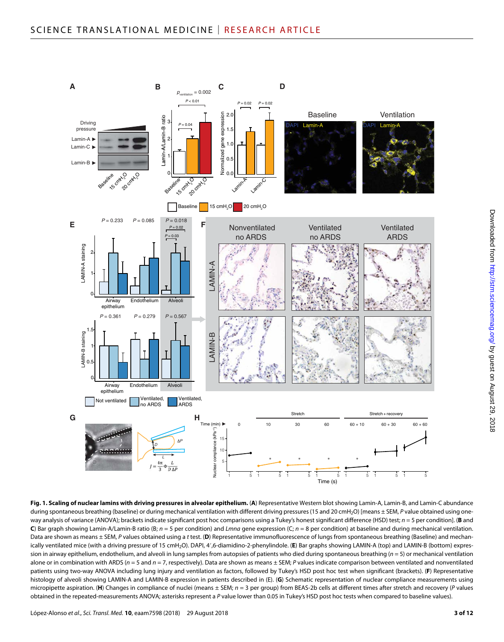

**Fig. 1. Scaling of nuclear lamins with driving pressures in alveolar epithelium.** (**A**) Representative Western blot showing Lamin-A, Lamin-B, and Lamin-C abundance during spontaneous breathing (baseline) or during mechanical ventilation with different driving pressures (15 and 20 cmH<sub>2</sub>O) [means ± SEM, P value obtained using oneway analysis of variance (ANOVA); brackets indicate significant post hoc comparisons using a Tukey's honest significant difference (HSD) test; *n* = 5 per condition]. (**B** and **C**) Bar graph showing Lamin-A/Lamin-B ratio (B; *n* = 5 per condition) and *Lmna* gene expression (C; *n* = 8 per condition) at baseline and during mechanical ventilation. Data are shown as means ± SEM, P values obtained using a *t* test. (D) Representative immunofluorescence of lungs from spontaneous breathing (Baseline) and mechanically ventilated mice (with a driving pressure of 15 cmH2O). DAPI, 4′,6-diamidino-2-phenylindole. (**E**) Bar graphs showing LAMIN-A (top) and LAMIN-B (bottom) expression in airway epithelium, endothelium, and alveoli in lung samples from autopsies of patients who died during spontaneous breathing (*n* = 5) or mechanical ventilation alone or in combination with ARDS (*n* = 5 and *n* = 7, respectively). Data are shown as means ± SEM; *P* values indicate comparison between ventilated and nonventilated patients using two-way ANOVA including lung injury and ventilation as factors, followed by Tukey's HSD post hoc test when significant (brackets). (**F**) Representative histology of alveoli showing LAMIN-A and LAMIN-B expression in patients described in (E). (**G**) Schematic representation of nuclear compliance measurements using micropipette aspiration. (**H**) Changes in compliance of nuclei (means ± SEM; *n* = 3 per group) from BEAS-2b cells at different times after stretch and recovery (*P* values obtained in the repeated-measurements ANOVA; asterisks represent a *P* value lower than 0.05 in Tukey's HSD post hoc tests when compared to baseline values).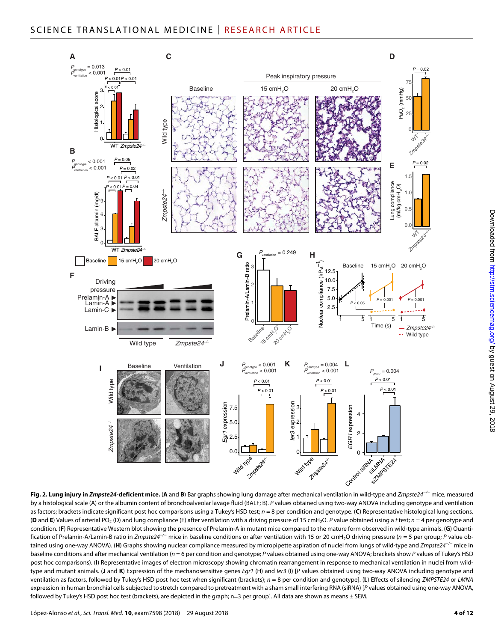

**Fig. 2. Lung injury in** *Zmpste24***-deficient mice.** (**A** and **B**) Bar graphs showing lung damage after mechanical ventilation in wild-type and *Zmpste24−/−* mice, measured by a histological scale (A) or the albumin content of bronchoalveolar lavage fluid (BALF; B). *P* values obtained using two-way ANOVA including genotype and ventilation as factors; brackets indicate significant post hoc comparisons using a Tukey's HSD test; *n* = 8 per condition and genotype. (**C**) Representative histological lung sections. (**D** and **E**) Values of arterial PO<sub>2</sub> (D) and lung compliance (E) after ventilation with a driving pressure of 15 cmH<sub>2</sub>O. *P* value obtained using a *t* test; *n* = 4 per genotype and condition. (**F**) Representative Western blot showing the presence of Prelamin-A in mutant mice compared to the mature form observed in wild-type animals. (**G**) Quantification of Prelamin-A/Lamin-B ratio in *Zmpste24−/−* mice in baseline conditions or after ventilation with 15 or 20 cmH2O driving pressure (*n* = 5 per group; *P* value obtained using one-way ANOVA). (**H**) Graphs showing nuclear compliance measured by micropipette aspiration of nuclei from lungs of wild-type and *Zmpste24−/−* mice in baseline conditions and after mechanical ventilation (*n* = 6 per condition and genotype; *P* values obtained using one-way ANOVA; brackets show *P* values of Tukey's HSD post hoc comparisons). (I) Representative images of electron microscopy showing chromatin rearrangement in response to mechanical ventilation in nuclei from wildtype and mutant animals. (**J** and **K**) Expression of the mechanosensitive genes *Egr1* (H) and *Ier3* (I) [*P* values obtained using two-way ANOVA including genotype and ventilation as factors, followed by Tukey's HSD post hoc test when significant (brackets); *n* = 8 per condition and genotype]. (**L**) Effects of silencing *ZMPSTE24* or *LMNA* expression in human bronchial cells subjected to stretch compared to pretreatment with a sham small interfering RNA (siRNA) [*P* values obtained using one-way ANOVA, followed by Tukey's HSD post hoc test (brackets), are depicted in the graph; n=3 per group]. All data are shown as means ± SEM.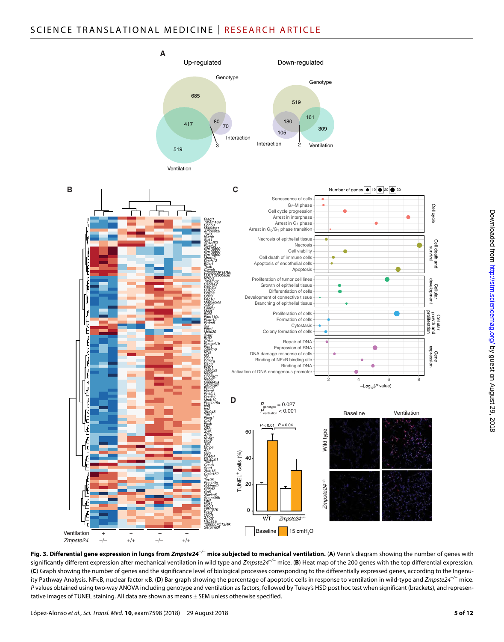

**Fig. 3. Differential gene expression in lungs from** *Zmpste24−/−* **mice subjected to mechanical ventilation.** (**A**) Venn's diagram showing the number of genes with significantly different expression after mechanical ventilation in wild type and *Zmpste24−/−* mice. (**B**) Heat map of the 200 genes with the top differential expression. (**C**) Graph showing the number of genes and the significance level of biological processes corresponding to the differentially expressed genes, according to the Ingenuity Pathway Analysis. NF<sub>K</sub>B, nuclear factor kB. (D) Bar graph showing the percentage of apoptotic cells in response to ventilation in wild-type and *Zmpste24<sup>-/−</sup>* mice. *P* values obtained using two-way ANOVA including genotype and ventilation as factors, followed by Tukey's HSD post hoc test when significant (brackets), and representative images of TUNEL staining. All data are shown as means ± SEM unless otherwise specified.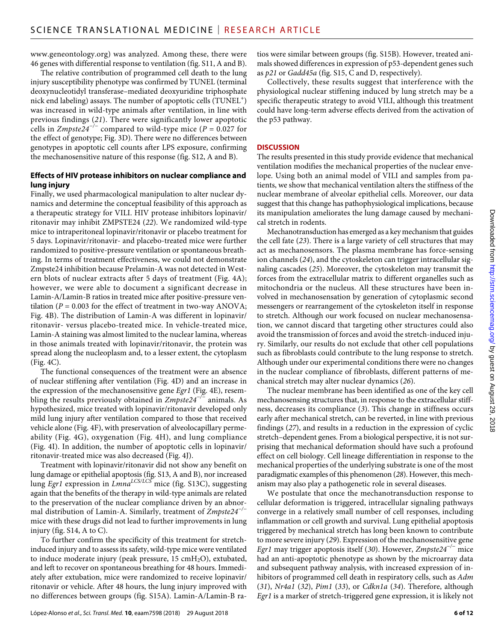[www.geneontology.org](http://www.geneontology.org)) was analyzed. Among these, there were 46 genes with differential response to ventilation (fig. S11, A and B).

The relative contribution of programmed cell death to the lung injury susceptibility phenotype was confirmed by TUNEL (terminal deoxynucleotidyl transferase–mediated deoxyuridine triphosphate nick end labeling) assays. The number of apoptotic cells  $(TUNEL<sup>+</sup>)$ was increased in wild-type animals after ventilation, in line with previous findings (*21*). There were significantly lower apoptotic cells in *Zmpste24−/−* compared to wild-type mice (*P* = 0.027 for the effect of genotype; Fig. 3D). There were no differences between genotypes in apoptotic cell counts after LPS exposure, confirming the mechanosensitive nature of this response (fig. S12, A and B).

#### **Effects of HIV protease inhibitors on nuclear compliance and lung injury**

Finally, we used pharmacological manipulation to alter nuclear dynamics and determine the conceptual feasibility of this approach as a therapeutic strategy for VILI. HIV protease inhibitors lopinavir/ ritonavir may inhibit ZMPSTE24 (*22*). We randomized wild-type mice to intraperitoneal lopinavir/ritonavir or placebo treatment for 5 days. Lopinavir/ritonavir- and placebo-treated mice were further randomized to positive-pressure ventilation or spontaneous breathing. In terms of treatment effectiveness, we could not demonstrate Zmpste24 inhibition because Prelamin-A was not detected in Western blots of nuclear extracts after 5 days of treatment (Fig. 4A); however, we were able to document a significant decrease in Lamin-A/Lamin-B ratios in treated mice after positive-pressure ventilation ( $P = 0.003$  for the effect of treatment in two-way ANOVA; Fig. 4B). The distribution of Lamin-A was different in lopinavir/ ritonavir- versus placebo-treated mice. In vehicle-treated mice, Lamin-A staining was almost limited to the nuclear lamina, whereas in those animals treated with lopinavir/ritonavir, the protein was spread along the nucleoplasm and, to a lesser extent, the cytoplasm (Fig. 4C).

The functional consequences of the treatment were an absence of nuclear stiffening after ventilation (Fig. 4D) and an increase in the expression of the mechanosensitive gene *Egr1* (Fig. 4E), resembling the results previously obtained in *Zmpste24−/−* animals. As hypothesized, mice treated with lopinavir/ritonavir developed only mild lung injury after ventilation compared to those that received vehicle alone (Fig. 4F), with preservation of alveolocapillary permeability (Fig. 4G), oxygenation (Fig. 4H), and lung compliance (Fig. 4I). In addition, the number of apoptotic cells in lopinavir/ ritonavir-treated mice was also decreased (Fig. 4J).

Treatment with lopinavir/ritonavir did not show any benefit on lung damage or epithelial apoptosis (fig. S13, A and B), nor increased lung *Egr1* expression in *LmnaLCS/LCS* mice (fig. S13C), suggesting again that the benefits of the therapy in wild-type animals are related to the preservation of the nuclear compliance driven by an abnormal distribution of Lamin-A. Similarly, treatment of *Zmpste24−/−* mice with these drugs did not lead to further improvements in lung injury (fig. S14, A to C).

To further confirm the specificity of this treatment for stretchinduced injury and to assess its safety, wild-type mice were ventilated to induce moderate injury (peak pressure,  $15 \text{ cm}H_2\text{O}$ ), extubated, and left to recover on spontaneous breathing for 48 hours. Immediately after extubation, mice were randomized to receive lopinavir/ ritonavir or vehicle. After 48 hours, the lung injury improved with no differences between groups (fig. S15A). Lamin-A/Lamin-B ratios were similar between groups (fig. S15B). However, treated animals showed differences in expression of p53-dependent genes such as *p21* or *Gadd45a* (fig. S15, C and D, respectively).

Collectively, these results suggest that interference with the physiological nuclear stiffening induced by lung stretch may be a specific therapeutic strategy to avoid VILI, although this treatment could have long-term adverse effects derived from the activation of the p53 pathway.

#### **DISCUSSION**

The results presented in this study provide evidence that mechanical ventilation modifies the mechanical properties of the nuclear envelope. Using both an animal model of VILI and samples from patients, we show that mechanical ventilation alters the stiffness of the nuclear membrane of alveolar epithelial cells. Moreover, our data suggest that this change has pathophysiological implications, because its manipulation ameliorates the lung damage caused by mechanical stretch in rodents.

Mechanotransduction has emerged as a key mechanism that guides the cell fate (*23*). There is a large variety of cell structures that may act as mechanosensors. The plasma membrane has force-sensing ion channels (*24*), and the cytoskeleton can trigger intracellular signaling cascades (*25*). Moreover, the cytoskeleton may transmit the forces from the extracellular matrix to different organelles such as mitochondria or the nucleus. All these structures have been involved in mechanosensation by generation of cytoplasmic second messengers or rearrangement of the cytoskeleton itself in response to stretch. Although our work focused on nuclear mechanosensation, we cannot discard that targeting other structures could also avoid the transmission of forces and avoid the stretch-induced injury. Similarly, our results do not exclude that other cell populations such as fibroblasts could contribute to the lung response to stretch. Although under our experimental conditions there were no changes in the nuclear compliance of fibroblasts, different patterns of mechanical stretch may alter nuclear dynamics (*26*).

The nuclear membrane has been identified as one of the key cell mechanosensing structures that, in response to the extracellular stiffness, decreases its compliance (*3*). This change in stiffness occurs early after mechanical stretch, can be reverted, in line with previous findings (*27*), and results in a reduction in the expression of cyclic stretch–dependent genes. From a biological perspective, it is not surprising that mechanical deformation should have such a profound effect on cell biology. Cell lineage differentiation in response to the mechanical properties of the underlying substrate is one of the most paradigmatic examples of this phenomenon (*28*). However, this mechanism may also play a pathogenetic role in several diseases.

We postulate that once the mechanotransduction response to cellular deformation is triggered, intracellular signaling pathways converge in a relatively small number of cell responses, including inflammation or cell growth and survival. Lung epithelial apoptosis triggered by mechanical stretch has long been known to contribute to more severe injury (*29*). Expression of the mechanosensitive gene *Egr1* may trigger apoptosis itself (*30*). However, *Zmpste24−/−* mice had an anti-apoptotic phenotype as shown by the microarray data and subsequent pathway analysis, with increased expression of inhibitors of programmed cell death in respiratory cells, such as *Adm* (*31*), *Nr4a1* (*32*), *Pim1* (*33*), or *Cdkn1a* (*34*). Therefore, although *Egr1* is a marker of stretch-triggered gene expression, it is likely not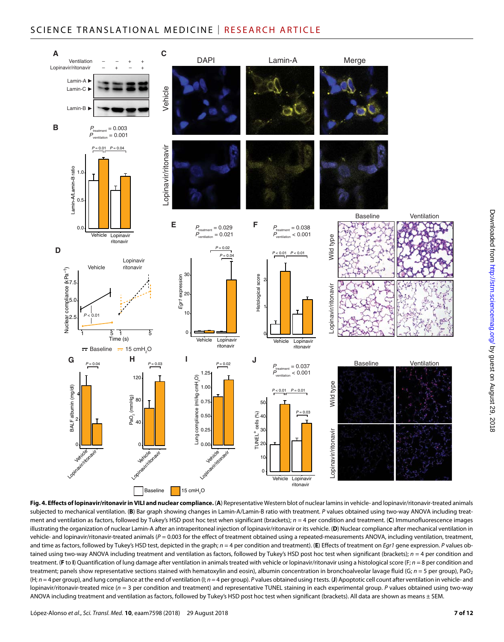# SCIENCE TRANSLATIONAL MEDICINE | RESEARCH ARTICLE



**Fig. 4. Effects of lopinavir/ritonavir in VILI and nuclear compliance.** (**A**) Representative Western blot of nuclear lamins in vehicle- and lopinavir/ritonavir-treated animals subjected to mechanical ventilation. (**B**) Bar graph showing changes in Lamin-A/Lamin-B ratio with treatment. *P* values obtained using two-way ANOVA including treatment and ventilation as factors, followed by Tukey's HSD post hoc test when significant (brackets); *n* = 4 per condition and treatment. (**C**) Immunofluorescence images illustrating the organization of nuclear Lamin-A after an intraperitoneal injection of lopinavir/ritonavir or its vehicle. (**D**) Nuclear compliance after mechanical ventilation in vehicle- and lopinavir/ritonavir-treated animals ( $P = 0.003$  for the effect of treatment obtained using a repeated-measurements ANOVA, including ventilation, treatment, and time as factors, followed by Tukey's HSD test, depicted in the graph; *n* = 4 per condition and treatment). (**E**) Effects of treatment on *Egr1* gene expression. *P* values obtained using two-way ANOVA including treatment and ventilation as factors, followed by Tukey's HSD post hoc test when significant (brackets); *n* = 4 per condition and treatment. (**F** to **I**) Quantification of lung damage after ventilation in animals treated with vehicle or lopinavir/ritonavir using a histological score (F; *n* = 8 per condition and treatment; panels show representative sections stained with hematoxylin and eosin), albumin concentration in bronchoalveolar lavage fluid (G; *n* = 5 per group), PaO<sub>2</sub> (H; *n* = 4 per group), and lung compliance at the end of ventilation (I; *n* = 4 per group). *P* values obtained using *t* tests. (**J**) Apoptotic cell count after ventilation in vehicle- and lopinavir/ritonavir-treated mice (*n* = 3 per condition and treatment) and representative TUNEL staining in each experimental group. *P* values obtained using two-way ANOVA including treatment and ventilation as factors, followed by Tukey's HSD post hoc test when significant (brackets). All data are shown as means ± SEM.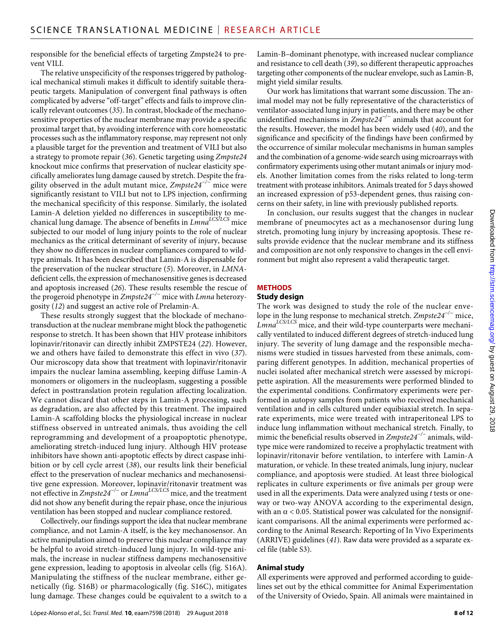responsible for the beneficial effects of targeting Zmpste24 to prevent VILI.

The relative unspecificity of the responses triggered by pathological mechanical stimuli makes it difficult to identify suitable therapeutic targets. Manipulation of convergent final pathways is often complicated by adverse "off-target" effects and fails to improve clinically relevant outcomes (*35*). In contrast, blockade of the mechanosensitive properties of the nuclear membrane may provide a specific proximal target that, by avoiding interference with core homeostatic processes such as the inflammatory response, may represent not only a plausible target for the prevention and treatment of VILI but also a strategy to promote repair (*36*). Genetic targeting using *Zmpste24* knockout mice confirms that preservation of nuclear elasticity specifically ameliorates lung damage caused by stretch. Despite the fragility observed in the adult mutant mice, *Zmpste24−/−* mice were significantly resistant to VILI but not to LPS injection, confirming the mechanical specificity of this response. Similarly, the isolated Lamin-A deletion yielded no differences in susceptibility to mechanical lung damage. The absence of benefits in *LmnaLCS/LCS* mice subjected to our model of lung injury points to the role of nuclear mechanics as the critical determinant of severity of injury, because they show no differences in nuclear compliances compared to wildtype animals. It has been described that Lamin-A is dispensable for the preservation of the nuclear structure (*5*). Moreover, in *LMNA*deficient cells, the expression of mechanosensitive genes is decreased and apoptosis increased (*26*). These results resemble the rescue of the progeroid phenotype in *Zmpste24−/−* mice with *Lmna* heterozygosity (*12*) and suggest an active role of Prelamin-A.

These results strongly suggest that the blockade of mechanotransduction at the nuclear membrane might block the pathogenetic response to stretch. It has been shown that HIV protease inhibitors lopinavir/ritonavir can directly inhibit ZMPSTE24 (*22*). However, we and others have failed to demonstrate this effect in vivo (*37*). Our microscopy data show that treatment with lopinavir/ritonavir impairs the nuclear lamina assembling, keeping diffuse Lamin-A monomers or oligomers in the nucleoplasm, suggesting a possible defect in posttranslation protein regulation affecting localization. We cannot discard that other steps in Lamin-A processing, such as degradation, are also affected by this treatment. The impaired Lamin-A scaffolding blocks the physiological increase in nuclear stiffness observed in untreated animals, thus avoiding the cell reprogramming and development of a proapoptotic phenotype, ameliorating stretch-induced lung injury. Although HIV protease inhibitors have shown anti-apoptotic effects by direct caspase inhibition or by cell cycle arrest (*38*), our results link their beneficial effect to the preservation of nuclear mechanics and mechanosensitive gene expression. Moreover, lopinavir/ritonavir treatment was not effective in *Zmpste24−/−* or *LmnaLCS/LCS* mice, and the treatment did not show any benefit during the repair phase, once the injurious ventilation has been stopped and nuclear compliance restored.

Collectively, our findings support the idea that nuclear membrane compliance, and not Lamin-A itself, is the key mechanosensor. An active manipulation aimed to preserve this nuclear compliance may be helpful to avoid stretch-induced lung injury. In wild-type animals, the increase in nuclear stiffness dampens mechanosensitive gene expression, leading to apoptosis in alveolar cells (fig. S16A). Manipulating the stiffness of the nuclear membrane, either genetically (fig. S16B) or pharmacologically (fig. S16C), mitigates lung damage. These changes could be equivalent to a switch to a

Lamin-B–dominant phenotype, with increased nuclear compliance and resistance to cell death (*39*), so different therapeutic approaches targeting other components of the nuclear envelope, such as Lamin-B, might yield similar results.

Our work has limitations that warrant some discussion. The animal model may not be fully representative of the characteristics of ventilator-associated lung injury in patients, and there may be other unidentified mechanisms in *Zmpste24−/−* animals that account for the results. However, the model has been widely used (*40*), and the significance and specificity of the findings have been confirmed by the occurrence of similar molecular mechanisms in human samples and the combination of a genome-wide search using microarrays with confirmatory experiments using other mutant animals or injury models. Another limitation comes from the risks related to long-term treatment with protease inhibitors. Animals treated for 5 days showed an increased expression of p53-dependent genes, thus raising concerns on their safety, in line with previously published reports.

In conclusion, our results suggest that the changes in nuclear membrane of pneumocytes act as a mechanosensor during lung stretch, promoting lung injury by increasing apoptosis. These results provide evidence that the nuclear membrane and its stiffness and composition are not only responsive to changes in the cell environment but might also represent a valid therapeutic target.

#### **METHODS**

#### **Study design**

The work was designed to study the role of the nuclear envelope in the lung response to mechanical stretch. *Zmpste24−/−* mice, *LmnaLCS/LCS* mice, and their wild-type counterparts were mechanically ventilated to induced different degrees of stretch-induced lung injury. The severity of lung damage and the responsible mechanisms were studied in tissues harvested from these animals, comparing different genotypes. In addition, mechanical properties of nuclei isolated after mechanical stretch were assessed by micropipette aspiration. All the measurements were performed blinded to the experimental conditions. Confirmatory experiments were performed in autopsy samples from patients who received mechanical ventilation and in cells cultured under equibiaxial stretch. In separate experiments, mice were treated with intraperitoneal LPS to induce lung inflammation without mechanical stretch. Finally, to mimic the beneficial results observed in *Zmpste24−/−* animals, wildtype mice were randomized to receive a prophylactic treatment with lopinavir/ritonavir before ventilation, to interfere with Lamin-A maturation, or vehicle. In these treated animals, lung injury, nuclear compliance, and apoptosis were studied. At least three biological replicates in culture experiments or five animals per group were used in all the experiments. Data were analyzed using *t* tests or oneway or two-way ANOVA according to the experimental design, with an  $\alpha$  < 0.05. Statistical power was calculated for the nonsignificant comparisons. All the animal experiments were performed according to the Animal Research: Reporting of In Vivo Experiments (ARRIVE) guidelines (*41*). Raw data were provided as a separate excel file (table S3).

#### **Animal study**

All experiments were approved and performed according to guidelines set out by the ethical committee for Animal Experimentation of the University of Oviedo, Spain. All animals were maintained in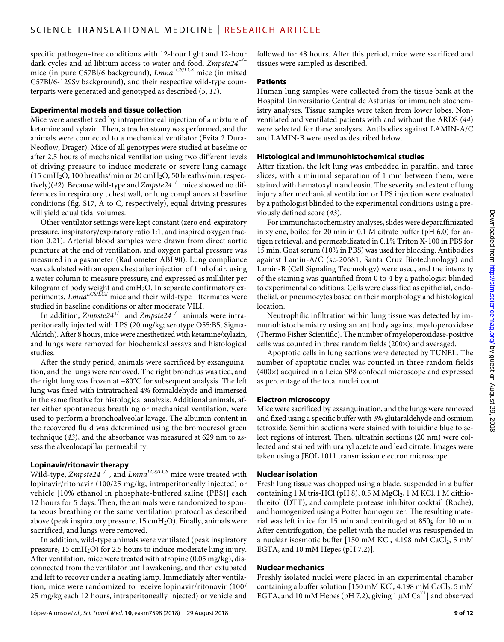specific pathogen–free conditions with 12-hour light and 12-hour dark cycles and ad libitum access to water and food. *Zmpste24−/−* mice (in pure C57Bl/6 background), *LmnaLCS/LCS* mice (in mixed C57Bl/6-129Sv background), and their respective wild-type counterparts were generated and genotyped as described (*5*, *11*).

#### **Experimental models and tissue collection**

Mice were anesthetized by intraperitoneal injection of a mixture of ketamine and xylazin. Then, a tracheostomy was performed, and the animals were connected to a mechanical ventilator (Evita 2 Dura-Neoflow, Drager). Mice of all genotypes were studied at baseline or after 2.5 hours of mechanical ventilation using two different levels of driving pressure to induce moderate or severe lung damage (15 cmH2O, 100 breaths/min or 20 cmH2O, 50 breaths/min, respectively)(*42*). Because wild-type and *Zmpste24−/−* mice showed no differences in respiratory , chest wall, or lung compliances at baseline conditions (fig. S17, A to C, respectively), equal driving pressures will yield equal tidal volumes.

Other ventilator settings were kept constant (zero end-expiratory pressure, inspiratory/expiratory ratio 1:1, and inspired oxygen fraction 0.21). Arterial blood samples were drawn from direct aortic puncture at the end of ventilation, and oxygen partial pressure was measured in a gasometer (Radiometer ABL90). Lung compliance was calculated with an open chest after injection of 1 ml of air, using a water column to measure pressure, and expressed as milliliter per kilogram of body weight and cmH $_2$ O. In separate confirmatory experiments, *LmnaLCS/LCS* mice and their wild-type littermates were studied in baseline conditions or after moderate VILI.

In addition, *Zmpste24+/+* and *Zmpste24−/−* animals were intraperitoneally injected with LPS (20 mg/kg; serotype O55:B5, Sigma-Aldrich). After 8 hours, mice were anesthetized with ketamine/xylazin, and lungs were removed for biochemical assays and histological studies.

After the study period, animals were sacrificed by exsanguination, and the lungs were removed. The right bronchus was tied, and the right lung was frozen at −80°C for subsequent analysis. The left lung was fixed with intratracheal 4% formaldehyde and immersed in the same fixative for histological analysis. Additional animals, after either spontaneous breathing or mechanical ventilation, were used to perform a bronchoalveolar lavage. The albumin content in the recovered fluid was determined using the bromocresol green technique (*43*), and the absorbance was measured at 629 nm to assess the alveolocapillar permeability.

# **Lopinavir/ritonavir therapy**

Wild-type, *Zmpste24−/−*, and *LmnaLCS/LCS* mice were treated with lopinavir/ritonavir (100/25 mg/kg, intraperitoneally injected) or vehicle [10% ethanol in phosphate-buffered saline (PBS)] each 12 hours for 5 days. Then, the animals were randomized to spontaneous breathing or the same ventilation protocol as described above (peak inspiratory pressure,  $15 \text{ cm}H_2O$ ). Finally, animals were sacrificed, and lungs were removed.

In addition, wild-type animals were ventilated (peak inspiratory pressure, 15 cmH2O) for 2.5 hours to induce moderate lung injury. After ventilation, mice were treated with atropine (0.05 mg/kg), disconnected from the ventilator until awakening, and then extubated and left to recover under a heating lamp. Immediately after ventilation, mice were randomized to receive lopinavir/ritonavir (100/ 25 mg/kg each 12 hours, intraperitoneally injected) or vehicle and

followed for 48 hours. After this period, mice were sacrificed and tissues were sampled as described.

#### **Patients**

Human lung samples were collected from the tissue bank at the Hospital Universitario Central de Asturias for immunohistochemistry analyses. Tissue samples were taken from lower lobes. Nonventilated and ventilated patients with and without the ARDS (*44*) were selected for these analyses. Antibodies against LAMIN-A/C and LAMIN-B were used as described below.

# **Histological and immunohistochemical studies**

After fixation, the left lung was embedded in paraffin, and three slices, with a minimal separation of 1 mm between them, were stained with hematoxylin and eosin. The severity and extent of lung injury after mechanical ventilation or LPS injection were evaluated by a pathologist blinded to the experimental conditions using a previously defined score (*43*).

For immunohistochemistry analyses, slides were deparaffinizated in xylene, boiled for 20 min in 0.1 M citrate buffer (pH 6.0) for antigen retrieval, and permeabilizated in 0.1% Triton X-100 in PBS for 15 min. Goat serum (10% in PBS) was used for blocking. Antibodies against Lamin-A/C (sc-20681, Santa Cruz Biotechnology) and Lamin-B (Cell Signaling Technology) were used, and the intensity of the staining was quantified from 0 to 4 by a pathologist blinded to experimental conditions. Cells were classified as epithelial, endothelial, or pneumocytes based on their morphology and histological location.

Neutrophilic infiltration within lung tissue was detected by immunohistochemistry using an antibody against myeloperoxidase (Thermo Fisher Scientific). The number of myeloperoxidase-positive cells was counted in three random fields (200×) and averaged.

Apoptotic cells in lung sections were detected by TUNEL. The number of apoptotic nuclei was counted in three random fields (400×) acquired in a Leica SP8 confocal microscope and expressed as percentage of the total nuclei count.

# **Electron microscopy**

Mice were sacrificed by exsanguination, and the lungs were removed and fixed using a specific buffer with 3% glutaraldehyde and osmium tetroxide. Semithin sections were stained with toluidine blue to select regions of interest. Then, ultrathin sections (20 nm) were collected and stained with uranyl acetate and lead citrate. Images were taken using a JEOL 1011 transmission electron microscope.

# **Nuclear isolation**

Fresh lung tissue was chopped using a blade, suspended in a buffer containing 1 M tris-HCl (pH 8),  $0.5$  M MgCl<sub>2</sub>, 1 M KCl, 1 M dithiothreitol (DTT), and complete protease inhibitor cocktail (Roche), and homogenized using a Potter homogenizer. The resulting material was left in ice for 15 min and centrifuged at 850*g* for 10 min. After centrifugation, the pellet with the nuclei was resuspended in a nuclear isosmotic buffer [150 mM KCl, 4.198 mM CaCl<sub>2</sub>, 5 mM EGTA, and 10 mM Hepes (pH 7.2)].

# **Nuclear mechanics**

Freshly isolated nuclei were placed in an experimental chamber containing a buffer solution [150 mM KCl, 4.198 mM CaCl<sub>2</sub>, 5 mM EGTA, and 10 mM Hepes (pH 7.2), giving 1  $\mu$ M Ca<sup>2+</sup>] and observed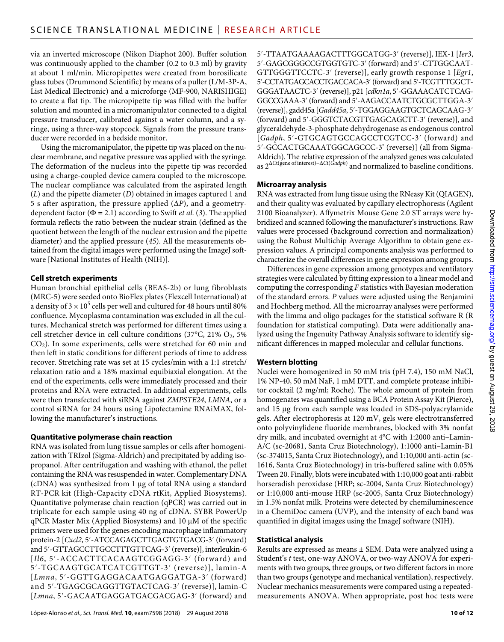via an inverted microscope (Nikon Diaphot 200). Buffer solution was continuously applied to the chamber (0.2 to 0.3 ml) by gravity at about 1 ml/min. Micropipettes were created from borosilicate glass tubes (Drummond Scientific) by means of a puller (L/M-3P-A, List Medical Electronic) and a microforge (MF-900, NARISHIGE) to create a flat tip. The micropipette tip was filled with the buffer solution and mounted in a micromanipulator connected to a digital pressure transducer, calibrated against a water column, and a syringe, using a three-way stopcock. Signals from the pressure transducer were recorded in a bedside monitor.

Using the micromanipulator, the pipette tip was placed on the nuclear membrane, and negative pressure was applied with the syringe. The deformation of the nucleus into the pipette tip was recorded using a charge-coupled device camera coupled to the microscope. The nuclear compliance was calculated from the aspirated length (*L*) and the pipette diameter (*D*) obtained in images captured 1 and 5 s after aspiration, the pressure applied  $(\Delta P)$ , and a geometrydependent factor ( $\Phi = 2.1$ ) according to Swift *et al.* (3). The applied formula reflects the ratio between the nuclear strain (defined as the quotient between the length of the nuclear extrusion and the pipette diameter) and the applied pressure (*45*). All the measurements obtained from the digital images were performed using the ImageJ software [National Institutes of Health (NIH)].

# **Cell stretch experiments**

Human bronchial epithelial cells (BEAS-2b) or lung fibroblasts (MRC-5) were seeded onto BioFlex plates (Flexcell International) at a density of 3  $\times$  10<sup>5</sup> cells per well and cultured for 48 hours until 80% confluence. Mycoplasma contamination was excluded in all the cultures. Mechanical stretch was performed for different times using a cell stretcher device in cell culture conditions (37°C, 21%  $O_2$ , 5% CO2). In some experiments, cells were stretched for 60 min and then left in static conditions for different periods of time to address recover. Stretching rate was set at 15 cycles/min with a 1:1 stretch/ relaxation ratio and a 18% maximal equibiaxial elongation. At the end of the experiments, cells were immediately processed and their proteins and RNA were extracted. In additional experiments, cells were then transfected with siRNA against *ZMPSTE24*, *LMNA*, or a control siRNA for 24 hours using Lipofectamine RNAiMAX, following the manufacturer's instructions.

# **Quantitative polymerase chain reaction**

RNA was isolated from lung tissue samples or cells after homogenization with TRIzol (Sigma-Aldrich) and precipitated by adding isopropanol. After centrifugation and washing with ethanol, the pellet containing the RNA was resuspended in water. Complementary DNA (cDNA) was synthesized from 1 µg of total RNA using a standard RT-PCR kit (High-Capacity cDNA rtKit, Applied Biosystems). Quantitative polymerase chain reaction (qPCR) was carried out in triplicate for each sample using 40 ng of cDNA. SYBR PowerUp  $qPCR$  Master Mix (Applied Biosystems) and 10  $\mu$ M of the specific primers were used for the genes encoding macrophage inflammatory protein-2 [*Cxcl2*, 5′-ATCCAGAGCTTGAGTGTGACG-3′ (forward) and 5′-GTTAGCCTTGCCTTTGTTCAG-3′ (reverse)], interleukin-6 [*Il6*, 5′-ACCACTTCACAAGTCGGAGG-3′ (forward) and 5′-TGCAAGTGCATCATCGTTGT-3′ (reverse)], lamin-A [*Lmna*, 5′-GGTTGAGGACAATGAGGATGA-3′ (forward) and 5′-TGAGCGCAGGTTGTACTCAG-3′ (reverse)], lamin-C [*Lmna*, 5′-GACAATGAGGATGACGACGAG-3′ (forward) and

5′-TTAATGAAAAGACTTTGGCATGG-3′ (reverse)], IEX-1 [*Ier3*, 5′-GAGCGGGCCGTGGTGTC-3′ (forward) and 5′-CTTGGCAAT-GTTGGGTTCCTC-3′ (reverse)], early growth response 1 [*Egr1*, 5′-CCTATGAGCACCTGACCACA-3′ (forward) and 5′-TCGTTTGGCT-GGGATAACTC-3′ (reverse)], p21 [*cdkn1a*, 5′-GGAAACATCTCAG-GGCCGAAA-3′ (forward) and 5′-AAGACCAATCTGCGCTTGGA-3′ (reverse)], gadd45a [*Gadd45a*, 5′-TGGAGGAAGTGCTCAGCAAG-3′ (forward) and 5′-GGGTCTACGTTGAGCAGCTT-3′ (reverse)], and glyceraldehyde-3-phosphate dehydrogenase as endogenous control [*Gadph*, 5′-GTGCAGTGCCAGCCTCGTCC-3′ (forward) and 5′-GCCACTGCAAATGGCAGCCC-3' (reverse)] (all from Sigma-Aldrich). The relative expression of the analyzed genes was calculated as 2*C*t(gene of interest)−*C*t(*Gadph*) and normalized to baseline conditions.

# **Microarray analysis**

RNA was extracted from lung tissue using the RNeasy Kit (QIAGEN), and their quality was evaluated by capillary electrophoresis (Agilent 2100 Bioanalyzer). Affymetrix Mouse Gene 2.0 ST arrays were hybridized and scanned following the manufacturer's instructions. Raw values were processed (background correction and normalization) using the Robust Multichip Average Algorithm to obtain gene expression values. A principal components analysis was performed to characterize the overall differences in gene expression among groups.

Differences in gene expression among genotypes and ventilatory strategies were calculated by fitting expression to a linear model and computing the corresponding *F* statistics with Bayesian moderation of the standard errors. *P* values were adjusted using the Benjamini and Hochberg method. All the microarray analyses were performed with the limma and oligo packages for the statistical software R (R foundation for statistical computing). Data were additionally analyzed using the Ingenuity Pathway Analysis software to identify significant differences in mapped molecular and cellular functions.

# **Western blotting**

Nuclei were homogenized in 50 mM tris (pH 7.4), 150 mM NaCl, 1% NP-40, 50 mM NaF, 1 mM DTT, and complete protease inhibitor cocktail (2 mg/ml; Roche). The whole amount of protein from homogenates was quantified using a BCA Protein Assay Kit (Pierce), and 15 µg from each sample was loaded in SDS-polyacrylamide gels. After electrophoresis at 120 mV, gels were electrotransferred onto polyvinylidene fluoride membranes, blocked with 3% nonfat dry milk, and incubated overnight at 4°C with 1:2000 anti–Lamin-A/C (sc-20681, Santa Cruz Biotechnology), 1:1000 anti–Lamin-B1 (sc-374015, Santa Cruz Biotechnology), and 1:10,000 anti-actin (sc-1616, Santa Cruz Biotechnology) in tris-buffered saline with 0.05% Tween 20. Finally, blots were incubated with 1:10,000 goat anti-rabbit horseradish peroxidase (HRP; sc-2004, Santa Cruz Biotechnology) or 1:10,000 anti-mouse HRP (sc-2005, Santa Cruz Biotechnology) in 1.5% nonfat milk. Proteins were detected by chemiluminescence in a ChemiDoc camera (UVP), and the intensity of each band was quantified in digital images using the ImageJ software (NIH).

# **Statistical analysis**

Results are expressed as means ± SEM. Data were analyzed using a Student's *t* test, one-way ANOVA, or two-way ANOVA for experiments with two groups, three groups, or two different factors in more than two groups (genotype and mechanical ventilation), respectively. Nuclear mechanics measurements were compared using a repeatedmeasurements ANOVA. When appropriate, post hoc tests were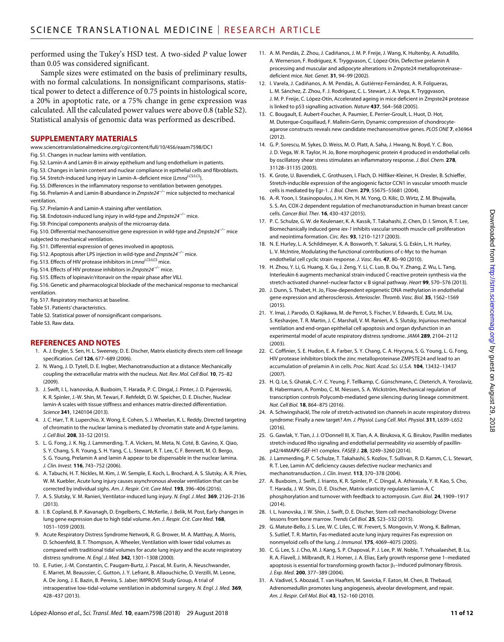performed using the Tukey's HSD test. A two-sided *P* value lower than 0.05 was considered significant.

Sample sizes were estimated on the basis of preliminary results, with no formal calculations. In nonsignificant comparisons, statistical power to detect a difference of 0.75 points in histological score, a 20% in apoptotic rate, or a 75% change in gene expression was calculated. All the calculated power values were above 0.8 (table S2). Statistical analysis of genomic data was performed as described.

#### **SUPPLEMENTARY MATERIALS**

- [www.sciencetranslationalmedicine.org/cgi/content/full/10/456/eaam7598/DC1](http://www.sciencetranslationalmedicine.org/cgi/content/full/10/456/eaam7598/DC1)
- Fig. S1. Changes in nuclear lamins with ventilation.
- Fig. S2. Lamin-A and Lamin-B in airway epithelium and lung endothelium in patients.
- Fig. S3. Changes in lamin content and nuclear compliance in epithelial cells and fibroblasts.
- Fig. S4. Stretch-induced lung injury in Lamin-A-deficient mice (*Lmna<sup>LCS/LCS</sup>*).
- Fig. S5. Differences in the inflammatory response to ventilation between genotypes. Fig. S6. Prelamin-A and Lamin-B abundance in *Zmpste24−/−* mice subjected to mechanical ventilation.
- Fig. S7. Prelamin-A and Lamin-A staining after ventilation.
- Fig. S8. Endotoxin-induced lung injury in wild-type and *Zmpste24−/−* mice.
- Fig. S9. Principal components analysis of the microarray data.
- Fig. S10. Differential mechanosensitive gene expression in wild-type and *Zmpste24−/−* mice subjected to mechanical ventilation.
- Fig. S11. Differential expression of genes involved in apoptosis.
- Fig. S12. Apoptosis after LPS injection in wild-type and *Zmpste24−/−* mice.
- Fig. S13. Effects of HIV protease inhibitors in *LmnaLCS/LCS* mice.
- Fig. S14. Effects of HIV protease inhibitors in *Zmpste24−/−* mice.
- Fig. S15. Effects of lopinavir/ritonavir on the repair phase after VILI.
- Fig. S16. Genetic and pharmacological blockade of the mechanical response to mechanical ventilation.
- Fig. S17. Respiratory mechanics at baseline.
- Table S1. Patients' characteristics.
- Table S2. Statistical power of nonsignificant comparisons. Table S3. Raw data.

#### **REFERENCES AND NOTES**

- 1. A. J. Engler, S. Sen, H. L. Sweeney, D. E. Discher, Matrix elasticity directs stem cell lineage specification. *Cell* **126**, 677–689 (2006).
- 2. N. Wang, J. D. Tytell, D. E. Ingber, Mechanotransduction at a distance: Mechanically coupling the extracellular matrix with the nucleus. *Nat. Rev. Mol. Cell Biol.* **10**, 75–82 (2009).
- 3. J. Swift, I. L. Ivanovska, A. Buxboim, T. Harada, P. C. Dingal, J. Pinter, J. D. Pajerowski, K. R. Spinler, J.-W. Shin, M. Tewari, F. Rehfeldt, D. W. Speicher, D. E. Discher, Nuclear lamin-A scales with tissue stiffness and enhances matrix-directed differentiation. *Science* **341**, 1240104 (2013).
- 4. J. C. Harr, T. R. Luperchio, X. Wong, E. Cohen, S. J. Wheelan, K. L. Reddy, Directed targeting of chromatin to the nuclear lamina is mediated by chromatin state and A-type lamins. *J. Cell Biol.* **208**, 33–52 (2015).
- 5. L. G. Fong, J. K. Ng, J. Lammerding, T. A. Vickers, M. Meta, N. Coté, B. Gavino, X. Qiao, S. Y. Chang, S. R. Young, S. H. Yang, C. L. Stewart, R. T. Lee, C. F. Bennett, M. O. Bergo, S. G. Young, Prelamin A and lamin A appear to be dispensable in the nuclear lamina. *J. Clin. Invest.* **116**, 743–752 (2006).
- 6. A. Tabuchi, H. T. Nickles, M. Kim, J. W. Semple, E. Koch, L. Brochard, A. S. Slutsky, A. R. Pries, W. M. Kuebler, Acute lung injury causes asynchronous alveolar ventilation that can be corrected by individual sighs. *Am. J. Respir. Crit. Care Med.* **193**, 396–406 (2016).
- 7. A. S. Slutsky, V. M. Ranieri, Ventilator-induced lung injury. *N. Engl. J. Med.* **369**, 2126–2136  $(2013)$
- 8. I. B. Copland, B. P. Kavanagh, D. Engelberts, C. McKerlie, J. Belik, M. Post, Early changes in lung gene expression due to high tidal volume. *Am. J. Respir. Crit. Care Med.* **168**, 1051–1059 (2003).
- 9. Acute Respiratory Distress Syndrome Network, R. G. Brower, M. A. Matthay, A. Morris, D. Schoenfeld, B. T. Thompson, A. Wheeler, Ventilation with lower tidal volumes as compared with traditional tidal volumes for acute lung injury and the acute respiratory distress syndrome. *N. Engl. J. Med.* **342**, 1301–1308 (2000).
- 10. E. Futier, J.-M. Constantin, C. Paugam-Burtz, J. Pascal, M. Eurin, A. Neuschwander, E. Marret, M. Beaussier, C. Gutton, J. Y. Lefrant, B. Allaouchiche, D. Verzilli, M. Leone, A. De Jong, J. E. Bazin, B. Pereira, S. Jaber; IMPROVE Study Group, A trial of intraoperative low-tidal-volume ventilation in abdominal surgery. *N. Engl. J. Med.* **369**, 428–437 (2013).
- 11. A. M. Pendás, Z. Zhou, J. Cadiñanos, J. M. P. Freije, J. Wang, K. Hultenby, A. Astudillo, A. Wernerson, F. Rodríguez, K. Tryggvason, C. López-Otín, Defective prelamin A processing and muscular and adipocyte alterations in Zmpste24 metalloproteinase– deficient mice. *Nat. Genet.* **31**, 94–99 (2002).
- 12. I. Varela, J. Cadiñanos, A. M. Pendás, A. Gutiérrez-Fernández, A. R. Folgueras, L. M. Sánchez, Z. Zhou, F. J. Rodríguez, C. L. Stewart, J. A. Vega, K. Tryggvason, J. M. P. Freije, C. López-Otín, Accelerated ageing in mice deficient in Zmpste24 protease is linked to p53 signalling activation. *Nature* **437**, 564–568 (2005).
- 13. C. Bougault, E. Aubert-Foucher, A. Paumier, E. Perrier-Groult, L. Huot, D. Hot, M. Duterque-Coquillaud, F. Mallein-Gerin, Dynamic compression of chondrocyteagarose constructs reveals new candidate mechanosensitive genes. *PLOS ONE* **7**, e36964 (2012).
- 14. G. P. Sorescu, M. Sykes, D. Weiss, M. O. Platt, A. Saha, J. Hwang, N. Boyd, Y. C. Boo, J. D. Vega, W. R. Taylor, H. Jo, Bone morphogenic protein 4 produced in endothelial cells by oscillatory shear stress stimulates an inflammatory response. *J. Biol. Chem.* **278**, 31128–31135 (2003).
- 15. K. Grote, U. Bavendiek, C. Grothusen, I. Flach, D. Hilfiker-Kleiner, H. Drexler, B. Schieffer, Stretch-inducible expression of the angiogenic factor CCN1 in vascular smooth muscle cells is mediated by Egr-1. *J. Biol. Chem.* **279**, 55675–55681 (2004).
- 16. A.-R. Yoon, I. Stasinopoulos, J. H. Kim, H. M. Yong, O. Kilic, D. Wirtz, Z. M. Bhujwalla, S. S. An, COX-2 dependent regulation of mechanotransduction in human breast cancer cells. *Cancer Biol. Ther.* **16**, 430–437 (2015).
- 17. P. C. Schulze, G. W. de Keulenaer, K. A. Kassik, T. Takahashi, Z. Chen, D. I. Simon, R. T. Lee, Biomechanically induced gene *iex-1* inhibits vascular smooth muscle cell proliferation and neointima formation. *Circ. Res.* **93**, 1210–1217 (2003).
- 18. N. E. Hurley, L. A. Schildmeyer, K. A. Bosworth, Y. Sakurai, S. G. Eskin, L. H. Hurley, L. V. McIntire, Modulating the functional contributions of c-Myc to the human endothelial cell cyclic strain response. *J. Vasc. Res.* **47**, 80–90 (2010).
- 19. H. Zhou, Y. Li, G. Huang, X. Gu, J. Zeng, Y. Li, C. Luo, B. Ou, Y. Zhang, Z. Wu, L. Tang, Interleukin 6 augments mechanical strain-induced C-reactive protein synthesis via the stretch-activated channel-nuclear factor  $\kappa$  B signal pathway. *Heart* 99, 570-576 (2013).
- 20. J. Dunn, S. Thabet, H. Jo, Flow-dependent epigenetic DNA methylation in endothelial gene expression and atherosclerosis. *Arterioscler. Thromb. Vasc. Biol.* **35**, 1562–1569 (2015).
- 21. Y. Imai, J. Parodo, O. Kajikawa, M. de Perrot, S. Fischer, V. Edwards, E. Cutz, M. Liu, S. Keshavjee, T. R. Martin, J. C. Marshall, V. M. Ranieri, A. S. Slutsky, Injurious mechanical ventilation and end-organ epithelial cell apoptosis and organ dysfunction in an experimental model of acute respiratory distress syndrome. *JAMA* **289**, 2104–2112 (2003).
- 22. C. Coffinier, S. E. Hudon, E. A. Farber, S. Y. Chang, C. A. Hrycyna, S. G. Young, L. G. Fong, HIV protease inhibitors block the zinc metalloproteinase ZMPSTE24 and lead to an accumulation of prelamin A in cells. *Proc. Natl. Acad. Sci. U.S.A.* **104**, 13432–13437 (2007).
- 23. H. Q. Le, S. Ghatak, C.-Y. C. Yeung, F. Tellkamp, C. Günschmann, C. Dieterich, A. Yeroslaviz, B. Habermann, A. Pombo, C. M. Niessen, S. A. Wickström, Mechanical regulation of transcription controls Polycomb-mediated gene silencing during lineage commitment. *Nat. Cell Biol.* **18**, 864–875 (2016).
- 24. A. Schwingshackl, The role of stretch-activated ion channels in acute respiratory distress syndrome: Finally a new target? *Am. J. Physiol. Lung Cell. Mol. Physiol.* **311**, L639–L652 (2016).
- 25. G. Gawlak, Y. Tian, J. J. O'Donnell III, X. Tian, A. A. Birukova, K. G. Birukov, Paxillin mediates stretch-induced Rho signaling and endothelial permeability *via* assembly of paxillinp42/44MAPK-GEF-H1 complex. *FASEB J.* **28**, 3249–3260 (2014).
- 26. J. Lammerding, P. C. Schulze, T. Takahashi, S. Kozlov, T. Sullivan, R. D. Kamm, C. L. Stewart, R. T. Lee, Lamin A/C deficiency causes defective nuclear mechanics and mechanotransduction. *J. Clin. Invest.* **113**, 370–378 (2004).
- 27. A. Buxboim, J. Swift, J. Irianto, K. R. Spinler, P. C. Dingal, A. Athirasala, Y. R. Kao, S. Cho, T. Harada, J. W. Shin, D. E. Discher, Matrix elasticity regulates lamin-A, C phosphorylation and turnover with feedback to actomyosin. *Curr. Biol.* **24**, 1909–1917  $(2014)$
- 28. I. L. Ivanovska, J. W. Shin, J. Swift, D. E. Discher, Stem cell mechanobiology: Diverse lessons from bone marrow. *Trends Cell Biol.* **25**, 523–532 (2015).
- 29. G. Matute-Bello, J. S. Lee, W. C. Liles, C. W. Frevert, S. Mongovin, V. Wong, K. Ballman, S. Sutlief, T. R. Martin, Fas-mediated acute lung injury requires Fas expression on nonmyeloid cells of the lung. *J. Immunol.* **175**, 4069–4075 (2005).
- 30. C. G. Lee, S. J. Cho, M. J. Kang, S. P. Chapoval, P. J. Lee, P. W. Noble, T. Yehualaeshet, B. Lu, R. A. Flavell, J. Milbrandt, R. J. Homer, J. A. Elias, Early growth response gene 1–mediated apoptosis is essential for transforming growth factor  $\beta_1$ –induced pulmonary fibrosis. *J. Exp. Med.* **200**, 377–389 (2004).
- 31. A. Vadivel, S. Abozaid, T. van Haaften, M. Sawicka, F. Eaton, M. Chen, B. Thebaud, Adrenomedullin promotes lung angiogenesis, alveolar development, and repair. *Am. J. Respir. Cell Mol. Biol.* **43**, 152–160 (2010).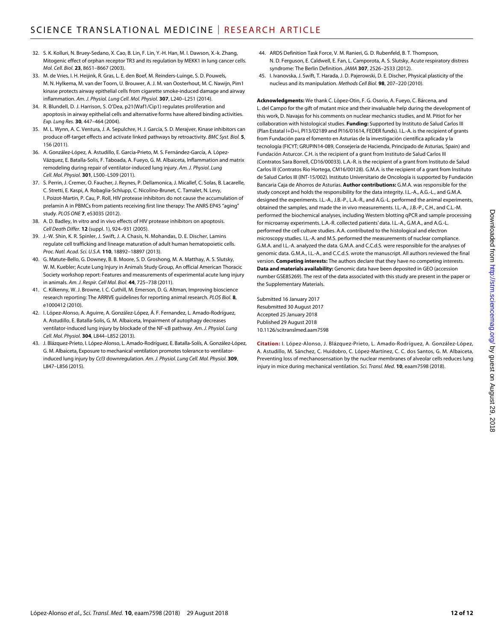- 32. S. K. Kolluri, N. Bruey-Sedano, X. Cao, B. Lin, F. Lin, Y.-H. Han, M. I. Dawson, X.-k. Zhang, Mitogenic effect of orphan receptor TR3 and its regulation by MEKK1 in lung cancer cells. *Mol. Cell. Biol.* **23**, 8651–8667 (2003).
- 33. M. de Vries, I. H. Heijink, R. Gras, L. E. den Boef, M. Reinders-Luinge, S. D. Pouwels, M. N. Hylkema, M. van der Toorn, U. Brouwer, A. J. M. van Oosterhout, M. C. Nawijn, Pim1 kinase protects airway epithelial cells from cigarette smoke-induced damage and airway inflammation. *Am. J. Physiol. Lung Cell. Mol. Physiol.* **307**, L240–L251 (2014).
- 34. R. Blundell, D. J. Harrison, S. O'Dea, p21(Waf1/Cip1) regulates proliferation and apoptosis in airway epithelial cells and alternative forms have altered binding activities. *Exp. Lung Res.* **30**, 447–464 (2004).
- 35. M. L. Wynn, A. C. Ventura, J. A. Sepulchre, H. J. García, S. D. Merajver, Kinase inhibitors can produce off-target effects and activate linked pathways by retroactivity. *BMC Syst. Biol.* **5**, 156 (2011).
- 36. A. González-López, A. Astudillo, E. Garcia-Prieto, M. S. Fernández-García, A. López-Vázquez, E. Batalla-Solis, F. Taboada, A. Fueyo, G. M. Albaiceta, Inflammation and matrix remodeling during repair of ventilator-induced lung injury. *Am. J. Physiol. Lung Cell. Mol. Physiol.* **301**, L500–L509 (2011).
- 37. S. Perrin, J. Cremer, O. Faucher, J. Reynes, P. Dellamonica, J. Micallef, C. Solas, B. Lacarelle, C. Stretti, E. Kaspi, A. Robaglia-Schlupp, C. Nicolino-Brunet, C. Tamalet, N. Levy, I. Poizot-Martin, P. Cau, P. Roll, HIV protease inhibitors do not cause the accumulation of prelamin A in PBMCs from patients receiving first line therapy: The ANRS EP45 "aging" study. *PLOS ONE* **7**, e53035 (2012).
- 38. A. D. Badley, In vitro and in vivo effects of HIV protease inhibitors on apoptosis. *Cell Death Differ.* **12** (suppl. 1), 924–931 (2005).
- 39. J.-W. Shin, K. R. Spinler, J. Swift, J. A. Chasis, N. Mohandas, D. E. Discher, Lamins regulate cell trafficking and lineage maturation of adult human hematopoietic cells. *Proc. Natl. Acad. Sci. U.S.A.* **110**, 18892–18897 (2013).
- 40. G. Matute-Bello, G. Downey, B. B. Moore, S. D. Groshong, M. A. Matthay, A. S. Slutsky, W. M. Kuebler; Acute Lung Injury in Animals Study Group, An official American Thoracic Society workshop report: Features and measurements of experimental acute lung injury in animals. *Am. J. Respir. Cell Mol. Biol.* **44**, 725–738 (2011).
- 41. C. Kilkenny, W. J. Browne, I. C. Cuthill, M. Emerson, D. G. Altman, Improving bioscience research reporting: The ARRIVE guidelines for reporting animal research. *PLOS Biol.* **8**, e1000412 (2010).
- 42. I. López-Alonso, A. Aguirre, A. González-López, Á. F. Fernandez, L. Amado-Rodríguez, A. Astudillo, E. Batalla-Solis, G. M. Albaiceta, Impairment of autophagy decreases ventilator-induced lung injury by blockade of the NF-<sub>KB</sub> pathway. Am. J. Physiol. Lung *Cell. Mol. Physiol.* **304**, L844–L852 (2013).
- 43. J. Blázquez-Prieto, I. López-Alonso, L. Amado-Rodríguez, E. Batalla-Solís, A. González-López, G. M. Albaiceta, Exposure to mechanical ventilation promotes tolerance to ventilatorinduced lung injury by *Ccl3* downregulation. *Am. J. Physiol. Lung Cell. Mol. Physiol.* **309**, L847–L856 (2015).
- 44. ARDS Definition Task Force, V. M. Ranieri, G. D. Rubenfeld, B. T. Thompson, N. D. Ferguson, E. Caldwell, E. Fan, L. Camporota, A. S. Slutsky, Acute respiratory distress syndrome: The Berlin Definition. *JAMA* **307**, 2526–2533 (2012).
- 45. I. Ivanovska, J. Swift, T. Harada, J. D. Pajerowski, D. E. Discher, Physical plasticity of the nucleus and its manipulation. *Methods Cell Biol.* **98**, 207–220 (2010).

**Acknowledgments:** We thank C. López-Otin, F. G. Osorio, A. Fueyo, C. Bárcena, and L. del Campo for the gift of mutant mice and their invaluable help during the development of this work, D. Navajas for his comments on nuclear mechanics studies, and M. Pitiot for her collaboration with histological studies. **Funding:** Supported by Instituto de Salud Carlos III (Plan Estatal I+D+i, PI13/02189 and PI16/01614, FEDER funds). I.L.-A. is the recipient of grants from Fundación para el fomento en Asturias de la investigación científica aplicada y la tecnología (FICYT; GRUPIN14-089, Consejería de Hacienda, Principado de Asturias, Spain) and Fundación Asturcor. C.H. is the recipient of a grant from Instituto de Salud Carlos III (Contratos Sara Borrell, CD16/00033). L.A.-R. is the recipient of a grant from Instituto de Salud Carlos III (Contratos Rio Hortega, CM16/00128). G.M.A. is the recipient of a grant from Instituto de Salud Carlos III (INT-15/002). Instituto Universitario de Oncología is supported by Fundación Bancaria Caja de Ahorros de Asturias. **Author contributions:** G.M.A. was responsible for the study concept and holds the responsibility for the data integrity. I.L.-A., A.G.-L., and G.M.A. designed the experiments. I.L.-A., J.B.-P., L.A.-R., and A.G.-L. performed the animal experiments, obtained the samples, and made the in vivo measurements. I.L.-A., J.B.-P., C.H., and C.L.-M. performed the biochemical analyses, including Western blotting qPCR and sample processing for microarray experiments. L.A.-R. collected patients' data. I.L.-A., G.M.A., and A.G.-L. performed the cell culture studies. A.A. contributed to the histological and electron microscopy studies. I.L.-A. and M.S. performed the measurements of nuclear compliance. G.M.A. and I.L.-A. analyzed the data. G.M.A. and C.C.d.S. were responsible for the analyses of genomic data. G.M.A., I.L.-A., and C.C.d.S. wrote the manuscript. All authors reviewed the final version. **Competing interests:** The authors declare that they have no competing interests. **Data and materials availability:** Genomic data have been deposited in GEO (accession number GSE85269). The rest of the data associated with this study are present in the paper or the Supplementary Materials.

Submitted 16 January 2017 Resubmitted 30 August 2017 Accepted 25 January 2018 Published 29 August 2018 10.1126/scitranslmed.aam7598

**Citation:** I. López-Alonso, J. Blázquez-Prieto, L. Amado-Rodríguez, A. González-López, A. Astudillo, M. Sánchez, C. Huidobro, C. López-Martínez, C. C. dos Santos, G. M. Albaiceta, Preventing loss of mechanosensation by the nuclear membranes of alveolar cells reduces lung injury in mice during mechanical ventilation. *Sci. Transl. Med.* **10**, eaam7598 (2018).